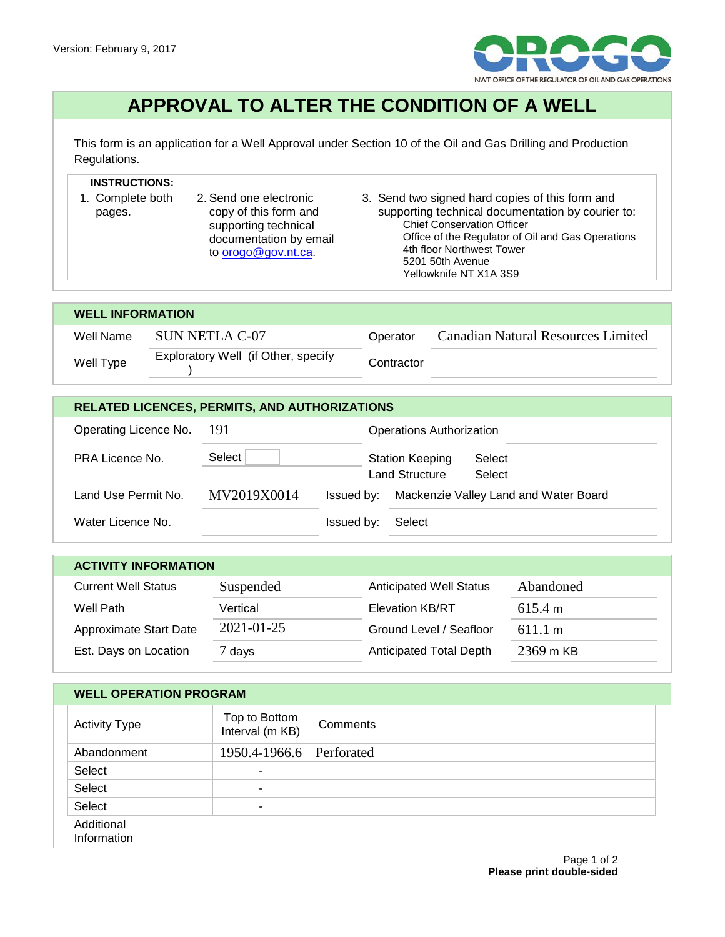

## **APPROVAL TO ALTER THE CONDITION OF A WELL**

This form is an application for a Well Approval under Section 10 of the Oil and Gas Drilling and Production Regulations.

## **INSTRUCTIONS:**

- 1. Complete both pages. 2. Send one electronic copy of this form and supporting technical documentation by email to **orogo@gov.nt.ca.**
- 3. Send two signed hard copies of this form and supporting technical documentation by courier to: Chief Conservation Officer Office of the Regulator of Oil and Gas Operations 4th floor Northwest Tower 5201 50th Avenue Yellowknife NT X1A 3S9

| <b>WELL INFORMATION</b> |                                     |            |                                    |  |  |
|-------------------------|-------------------------------------|------------|------------------------------------|--|--|
| Well Name               | SUN NETLA C-07                      | Operator   | Canadian Natural Resources Limited |  |  |
| Well Type               | Exploratory Well (if Other, specify | Contractor |                                    |  |  |

| <b>RELATED LICENCES, PERMITS, AND AUTHORIZATIONS</b> |             |            |                                                 |                                       |
|------------------------------------------------------|-------------|------------|-------------------------------------------------|---------------------------------------|
| Operating Licence No.                                | -191        |            | <b>Operations Authorization</b>                 |                                       |
| <b>PRA Licence No.</b>                               | Select      |            | <b>Station Keeping</b><br><b>Land Structure</b> | Select<br>Select                      |
| Land Use Permit No.                                  | MV2019X0014 | Issued by: |                                                 | Mackenzie Valley Land and Water Board |
| Water Licence No.                                    |             | Issued by: | Select                                          |                                       |

| <b>ACTIVITY INFORMATION</b> |                  |                                |           |  |  |
|-----------------------------|------------------|--------------------------------|-----------|--|--|
| <b>Current Well Status</b>  | Suspended        | <b>Anticipated Well Status</b> | Abandoned |  |  |
| Well Path                   | Vertical         | <b>Elevation KB/RT</b>         | 615.4 m   |  |  |
| Approximate Start Date      | $2021 - 01 - 25$ | Ground Level / Seafloor        | 611.1 m   |  |  |
| Est. Days on Location       | 7 days           | <b>Anticipated Total Depth</b> | 2369 m KB |  |  |

## **WELL OPERATION PROGRAM**

| <b>Activity Type</b>      | Top to Bottom<br>Interval (m KB) | Comments |
|---------------------------|----------------------------------|----------|
| Abandonment               | 1950.4-1966.6 Perforated         |          |
| Select                    | ۰                                |          |
| Select                    | $\overline{\phantom{a}}$         |          |
| Select                    | ۰                                |          |
| Additional<br>Information |                                  |          |